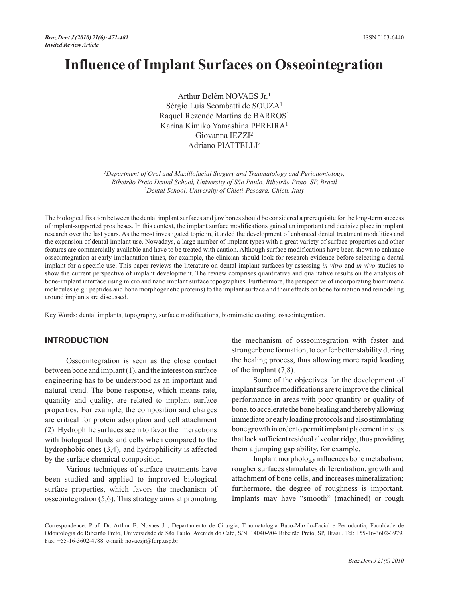# **Influence of Implant Surfaces on Osseointegration**

Arthur Belém NOVAES Jr.1 Sérgio Luis Scombatti de SOUZA1 Raquel Rezende Martins de BARROS<sup>1</sup> Karina Kimiko Yamashina PEREIRA1 Giovanna IEZZI2 Adriano PIATTELLI<sup>2</sup>

*1Department of Oral and Maxillofacial Surgery and Traumatology and Periodontology, Ribeirão Preto Dental School, University of São Paulo, Ribeirão Preto, SP, Brazil 2Dental School, University of Chieti-Pescara, Chieti, Italy*

The biological fixation between the dental implant surfaces and jaw bones should be considered a prerequisite for the long-term success of implant-supported prostheses. In this context, the implant surface modifications gained an important and decisive place in implant research over the last years. As the most investigated topic in, it aided the development of enhanced dental treatment modalities and the expansion of dental implant use. Nowadays, a large number of implant types with a great variety of surface properties and other features are commercially available and have to be treated with caution. Although surface modifications have been shown to enhance osseointegration at early implantation times, for example, the clinician should look for research evidence before selecting a dental implant for a specific use. This paper reviews the literature on dental implant surfaces by assessing *in vitro* and *in vivo* studies to show the current perspective of implant development. The review comprises quantitative and qualitative results on the analysis of bone-implant interface using micro and nano implant surface topographies. Furthermore, the perspective of incorporating biomimetic molecules (e.g.: peptides and bone morphogenetic proteins) to the implant surface and their effects on bone formation and remodeling around implants are discussed.

Key Words: dental implants, topography, surface modifications, biomimetic coating, osseointegration.

# **INTRODUCTION**

Osseointegration is seen as the close contact between bone and implant (1), and the interest on surface engineering has to be understood as an important and natural trend. The bone response, which means rate, quantity and quality, are related to implant surface properties. For example, the composition and charges are critical for protein adsorption and cell attachment (2). Hydrophilic surfaces seem to favor the interactions with biological fluids and cells when compared to the hydrophobic ones (3,4), and hydrophilicity is affected by the surface chemical composition.

Various techniques of surface treatments have been studied and applied to improved biological surface properties, which favors the mechanism of osseointegration (5,6). This strategy aims at promoting

the mechanism of osseointegration with faster and stronger bone formation, to confer better stability during the healing process, thus allowing more rapid loading of the implant (7,8).

Some of the objectives for the development of implant surface modifications are to improve the clinical performance in areas with poor quantity or quality of bone, to accelerate the bone healing and thereby allowing immediate or early loading protocols and also stimulating bone growth in order to permit implant placement in sites that lack sufficient residual alveolar ridge, thus providing them a jumping gap ability, for example.

Implant morphology influences bone metabolism: rougher surfaces stimulates differentiation, growth and attachment of bone cells, and increases mineralization; furthermore, the degree of roughness is important. Implants may have "smooth" (machined) or rough

Correspondence: Prof. Dr. Arthur B. Novaes Jr., Departamento de Cirurgia, Traumatologia Buco-Maxilo-Facial e Periodontia, Faculdade de Odontologia de Ribeirão Preto, Universidade de São Paulo, Avenida do Café, S/N, 14040-904 Ribeirão Preto, SP, Brasil. Tel: +55-16-3602-3979. Fax: +55-16-3602-4788. e-mail: novaesjr@forp.usp.br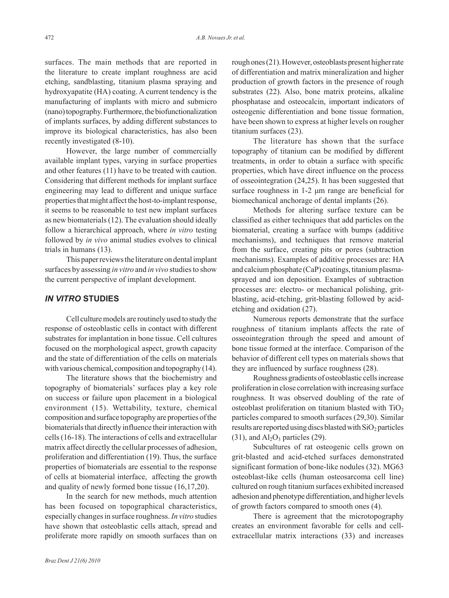surfaces. The main methods that are reported in the literature to create implant roughness are acid etching, sandblasting, titanium plasma spraying and hydroxyapatite (HA) coating. A current tendency is the manufacturing of implants with micro and submicro (nano) topography. Furthermore, the biofunctionalization of implants surfaces, by adding different substances to improve its biological characteristics, has also been recently investigated (8-10).

However, the large number of commercially available implant types, varying in surface properties and other features (11) have to be treated with caution. Considering that different methods for implant surface engineering may lead to different and unique surface properties that might affect the host-to-implant response, it seems to be reasonable to test new implant surfaces as new biomaterials (12). The evaluation should ideally follow a hierarchical approach, where *in vitro* testing followed by *in vivo* animal studies evolves to clinical trials in humans (13).

This paper reviews the literature on dental implant surfaces by assessing *in vitro* and *in vivo* studies to show the current perspective of implant development.

# *IN VITRO* **STUDIES**

Cell culture models are routinely used to study the response of osteoblastic cells in contact with different substrates for implantation in bone tissue. Cell cultures focused on the morphological aspect, growth capacity and the state of differentiation of the cells on materials with various chemical, composition and topography (14).

The literature shows that the biochemistry and topography of biomaterials' surfaces play a key role on success or failure upon placement in a biological environment (15). Wettability, texture, chemical composition and surface topography are properties of the biomaterials that directly influence their interaction with cells (16-18). The interactions of cells and extracellular matrix affect directly the cellular processes of adhesion, proliferation and differentiation (19). Thus, the surface properties of biomaterials are essential to the response of cells at biomaterial interface, affecting the growth and quality of newly formed bone tissue (16,17,20).

In the search for new methods, much attention has been focused on topographical characteristics, especially changes in surface roughness. *In vitro* studies have shown that osteoblastic cells attach, spread and proliferate more rapidly on smooth surfaces than on

rough ones (21). However, osteoblasts present higher rate of differentiation and matrix mineralization and higher production of growth factors in the presence of rough substrates (22). Also, bone matrix proteins, alkaline phosphatase and osteocalcin, important indicators of osteogenic differentiation and bone tissue formation, have been shown to express at higher levels on rougher titanium surfaces (23).

The literature has shown that the surface topography of titanium can be modified by different treatments, in order to obtain a surface with specific properties, which have direct influence on the process of osseointegration (24,25). It has been suggested that surface roughness in 1-2 μm range are beneficial for biomechanical anchorage of dental implants (26).

Methods for altering surface texture can be classified as either techniques that add particles on the biomaterial, creating a surface with bumps (additive mechanisms), and techniques that remove material from the surface, creating pits or pores (subtraction mechanisms). Examples of additive processes are: HA and calcium phosphate (CaP) coatings, titanium plasmasprayed and ion deposition. Examples of subtraction processes are: electro- or mechanical polishing, gritblasting, acid-etching, grit-blasting followed by acidetching and oxidation (27).

Numerous reports demonstrate that the surface roughness of titanium implants affects the rate of osseointegration through the speed and amount of bone tissue formed at the interface. Comparison of the behavior of different cell types on materials shows that they are influenced by surface roughness (28).

Roughness gradients of osteoblastic cells increase proliferation in close correlation with increasing surface roughness. It was observed doubling of the rate of osteoblast proliferation on titanium blasted with  $TiO<sub>2</sub>$ particles compared to smooth surfaces (29,30). Similar results are reported using discs blasted with  $SiO<sub>2</sub>$  particles  $(31)$ , and  $Al<sub>2</sub>O<sub>3</sub>$  particles  $(29)$ .

Subcultures of rat osteogenic cells grown on grit-blasted and acid-etched surfaces demonstrated significant formation of bone-like nodules (32). MG63 osteoblast-like cells (human osteosarcoma cell line) cultured on rough titanium surfaces exhibited increased adhesion and phenotype differentiation, and higher levels of growth factors compared to smooth ones (4).

There is agreement that the microtopography creates an environment favorable for cells and cellextracellular matrix interactions (33) and increases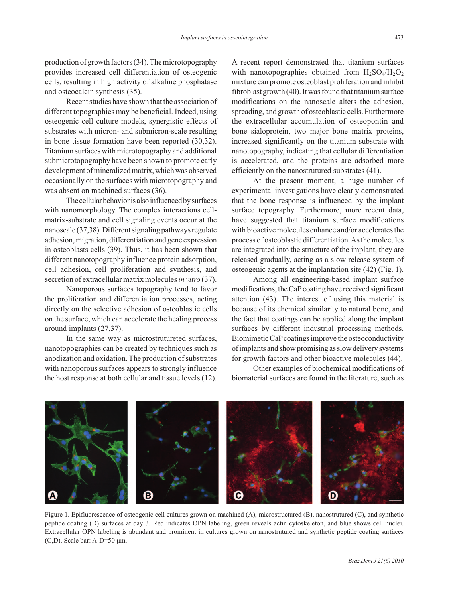production of growth factors (34). The microtopography provides increased cell differentiation of osteogenic cells, resulting in high activity of alkaline phosphatase and osteocalcin synthesis (35).

Recent studies have shown that the association of different topographies may be beneficial. Indeed, using osteogenic cell culture models, synergistic effects of substrates with micron- and submicron-scale resulting in bone tissue formation have been reported (30,32). Titanium surfaces with microtopography and additional submicrotopography have been shown to promote early development of mineralized matrix, which was observed occasionally on the surfaces with microtopography and was absent on machined surfaces (36).

The cellular behavior is also influenced by surfaces with nanomorphology. The complex interactions cellmatrix-substrate and cell signaling events occur at the nanoscale (37,38). Different signaling pathways regulate adhesion, migration, differentiation and gene expression in osteoblasts cells (39). Thus, it has been shown that different nanotopography influence protein adsorption, cell adhesion, cell proliferation and synthesis, and secretion of extracellular matrix molecules *in vitro* (37).

Nanoporous surfaces topography tend to favor the proliferation and differentiation processes, acting directly on the selective adhesion of osteoblastic cells on the surface, which can accelerate the healing process around implants (27,37).

In the same way as microstrutureted surfaces, nanotopographies can be created by techniques such as anodization and oxidation. The production of substrates with nanoporous surfaces appears to strongly influence the host response at both cellular and tissue levels (12). A recent report demonstrated that titanium surfaces with nanotopographies obtained from  $H_2SO_4/H_2O_2$ mixture can promote osteoblast proliferation and inhibit fibroblast growth (40). It was found that titanium surface modifications on the nanoscale alters the adhesion, spreading, and growth of osteoblastic cells. Furthermore the extracellular accumulation of osteopontin and bone sialoprotein, two major bone matrix proteins, increased significantly on the titanium substrate with nanotopography, indicating that cellular differentiation is accelerated, and the proteins are adsorbed more efficiently on the nanostrutured substrates (41).

At the present moment, a huge number of experimental investigations have clearly demonstrated that the bone response is influenced by the implant surface topography. Furthermore, more recent data, have suggested that titanium surface modifications with bioactive molecules enhance and/or accelerates the process of osteoblastic differentiation. As the molecules are integrated into the structure of the implant, they are released gradually, acting as a slow release system of osteogenic agents at the implantation site (42) (Fig. 1).

Among all engineering-based implant surface modifications, the CaP coating have received significant attention (43). The interest of using this material is because of its chemical similarity to natural bone, and the fact that coatings can be applied along the implant surfaces by different industrial processing methods. Biomimetic CaP coatings improve the osteoconductivity of implants and show promising as slow delivery systems for growth factors and other bioactive molecules (44).

Other examples of biochemical modifications of biomaterial surfaces are found in the literature, such as



Figure 1. Epifluorescence of osteogenic cell cultures grown on machined (A), microstructured (B), nanostrutured (C), and synthetic peptide coating (D) surfaces at day 3. Red indicates OPN labeling, green reveals actin cytoskeleton, and blue shows cell nuclei. Extracellular OPN labeling is abundant and prominent in cultures grown on nanostrutured and synthetic peptide coating surfaces (C,D). Scale bar: A-D=50 μm.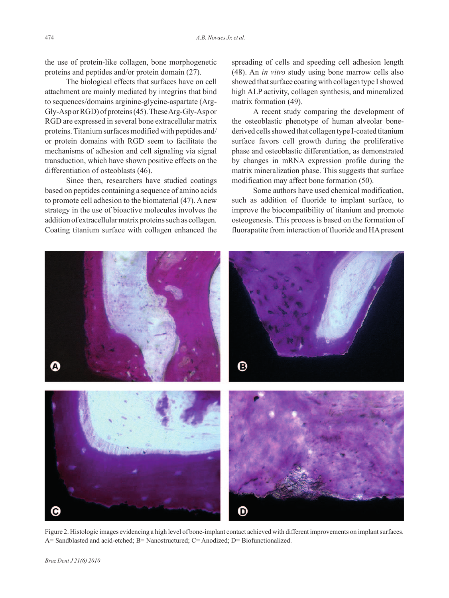the use of protein-like collagen, bone morphogenetic proteins and peptides and/or protein domain (27).

The biological effects that surfaces have on cell attachment are mainly mediated by integrins that bind to sequences/domains arginine-glycine-aspartate (Arg-Gly-Asp or RGD) of proteins (45). These Arg-Gly-Asp or RGD are expressed in several bone extracellular matrix proteins. Titanium surfaces modified with peptides and/ or protein domains with RGD seem to facilitate the mechanisms of adhesion and cell signaling via signal transduction, which have shown positive effects on the differentiation of osteoblasts (46).

Since then, researchers have studied coatings based on peptides containing a sequence of amino acids to promote cell adhesion to the biomaterial (47). A new strategy in the use of bioactive molecules involves the addition of extracellular matrix proteins such as collagen. Coating titanium surface with collagen enhanced the

spreading of cells and speeding cell adhesion length (48). An *in vitro* study using bone marrow cells also showed that surface coating with collagen type I showed high ALP activity, collagen synthesis, and mineralized matrix formation (49).

A recent study comparing the development of the osteoblastic phenotype of human alveolar bonederived cells showed that collagen type I-coated titanium surface favors cell growth during the proliferative phase and osteoblastic differentiation, as demonstrated by changes in mRNA expression profile during the matrix mineralization phase. This suggests that surface modification may affect bone formation (50).

Some authors have used chemical modification, such as addition of fluoride to implant surface, to improve the biocompatibility of titanium and promote osteogenesis. This process is based on the formation of fluorapatite from interaction of fluoride and HA present



Figure 2. Histologic images evidencing a high level of bone-implant contact achieved with different improvements on implant surfaces. A= Sandblasted and acid-etched; B= Nanostructured; C= Anodized; D= Biofunctionalized.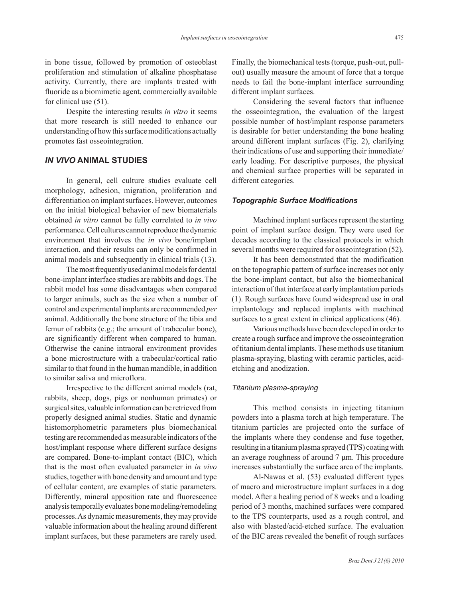in bone tissue, followed by promotion of osteoblast proliferation and stimulation of alkaline phosphatase activity. Currently, there are implants treated with fluoride as a biomimetic agent, commercially available for clinical use (51).

Despite the interesting results *in vitro* it seems that more research is still needed to enhance our understanding of how this surface modifications actually promotes fast osseointegration.

# *IN VIVO* **ANIMAL STUDIES**

In general, cell culture studies evaluate cell morphology, adhesion, migration, proliferation and differentiation on implant surfaces. However, outcomes on the initial biological behavior of new biomaterials obtained *in vitro* cannot be fully correlated to *in vivo* performance. Cell cultures cannot reproduce the dynamic environment that involves the *in vivo* bone/implant interaction, and their results can only be confirmed in animal models and subsequently in clinical trials (13).

The most frequently used animal models for dental bone-implant interface studies are rabbits and dogs. The rabbit model has some disadvantages when compared to larger animals, such as the size when a number of control and experimental implants are recommended *per* animal. Additionally the bone structure of the tibia and femur of rabbits (e.g.; the amount of trabecular bone), are significantly different when compared to human. Otherwise the canine intraoral environment provides a bone microstructure with a trabecular/cortical ratio similar to that found in the human mandible, in addition to similar saliva and microflora.

Irrespective to the different animal models (rat, rabbits, sheep, dogs, pigs or nonhuman primates) or surgical sites, valuable information can be retrieved from properly designed animal studies. Static and dynamic histomorphometric parameters plus biomechanical testing are recommended as measurable indicators of the host/implant response where different surface designs are compared. Bone-to-implant contact (BIC), which that is the most often evaluated parameter in *in vivo* studies, together with bone density and amount and type of cellular content, are examples of static parameters. Differently, mineral apposition rate and fluorescence analysis temporally evaluates bone modeling/remodeling processes. As dynamic measurements, they may provide valuable information about the healing around different implant surfaces, but these parameters are rarely used.

Finally, the biomechanical tests (torque, push-out, pullout) usually measure the amount of force that a torque needs to fail the bone-implant interface surrounding different implant surfaces.

Considering the several factors that influence the osseointegration, the evaluation of the largest possible number of host/implant response parameters is desirable for better understanding the bone healing around different implant surfaces (Fig. 2), clarifying their indications of use and supporting their immediate/ early loading. For descriptive purposes, the physical and chemical surface properties will be separated in different categories.

### *Topographic Surface Modifications*

Machined implant surfaces represent the starting point of implant surface design. They were used for decades according to the classical protocols in which several months were required for osseointegration (52).

It has been demonstrated that the modification on the topographic pattern of surface increases not only the bone-implant contact, but also the biomechanical interaction of that interface at early implantation periods (1). Rough surfaces have found widespread use in oral implantology and replaced implants with machined surfaces to a great extent in clinical applications (46).

Various methods have been developed in order to create a rough surface and improve the osseointegration of titanium dental implants. These methods use titanium plasma-spraying, blasting with ceramic particles, acidetching and anodization.

#### *Titanium plasma-spraying*

This method consists in injecting titanium powders into a plasma torch at high temperature. The titanium particles are projected onto the surface of the implants where they condense and fuse together, resulting in a titanium plasma sprayed (TPS) coating with an average roughness of around 7 μm. This procedure increases substantially the surface area of the implants.

Al-Nawas et al. (53) evaluated different types of macro and microstructure implant surfaces in a dog model. After a healing period of 8 weeks and a loading period of 3 months, machined surfaces were compared to the TPS counterparts, used as a rough control, and also with blasted/acid-etched surface. The evaluation of the BIC areas revealed the benefit of rough surfaces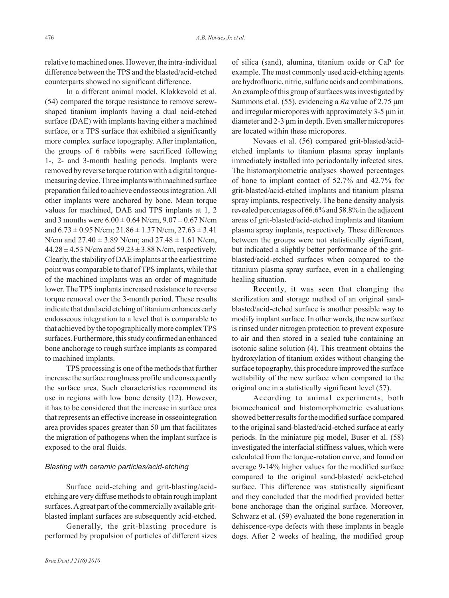relative to machined ones. However, the intra-individual difference between the TPS and the blasted/acid-etched counterparts showed no significant difference.

In a different animal model, Klokkevold et al. (54) compared the torque resistance to remove screwshaped titanium implants having a dual acid-etched surface (DAE) with implants having either a machined surface, or a TPS surface that exhibited a significantly more complex surface topography. After implantation, the groups of 6 rabbits were sacrificed following 1-, 2- and 3-month healing periods. Implants were removed by reverse torque rotation with a digital torquemeasuring device. Three implants with machined surface preparation failed to achieve endosseous integration. All other implants were anchored by bone. Mean torque values for machined, DAE and TPS implants at 1, 2 and 3 months were  $6.00 \pm 0.64$  N/cm,  $9.07 \pm 0.67$  N/cm and  $6.73 \pm 0.95$  N/cm;  $21.86 \pm 1.37$  N/cm,  $27.63 \pm 3.41$ N/cm and  $27.40 \pm 3.89$  N/cm; and  $27.48 \pm 1.61$  N/cm,  $44.28 \pm 4.53$  N/cm and  $59.23 \pm 3.88$  N/cm, respectively. Clearly, the stability of DAE implants at the earliest time point was comparable to that of TPS implants, while that of the machined implants was an order of magnitude lower. The TPS implants increased resistance to reverse torque removal over the 3-month period. These results indicate that dual acid etching of titanium enhances early endosseous integration to a level that is comparable to that achieved by the topographically more complex TPS surfaces. Furthermore, this study confirmed an enhanced bone anchorage to rough surface implants as compared to machined implants.

TPS processing is one of the methods that further increase the surface roughness profile and consequently the surface area. Such characteristics recommend its use in regions with low bone density (12). However, it has to be considered that the increase in surface area that represents an effective increase in osseointegration area provides spaces greater than 50 μm that facilitates the migration of pathogens when the implant surface is exposed to the oral fluids.

# *Blasting with ceramic particles/acid-etching*

Surface acid-etching and grit-blasting/acidetching are very diffuse methods to obtain rough implant surfaces. A great part of the commercially available gritblasted implant surfaces are subsequently acid-etched.

Generally, the grit-blasting procedure is performed by propulsion of particles of different sizes

of silica (sand), alumina, titanium oxide or CaP for example. The most commonly used acid-etching agents are hydrofluoric, nitric, sulfuric acids and combinations. An example of this group of surfaces was investigated by Sammons et al. (55), evidencing a *Ra* value of 2.75 μm and irregular micropores with approximately 3-5 μm in diameter and 2-3 μm in depth. Even smaller micropores are located within these micropores.

Novaes et al. (56) compared grit-blasted/acidetched implants to titanium plasma spray implants immediately installed into periodontally infected sites. The histomorphometric analyses showed percentages of bone to implant contact of 52.7% and 42.7% for grit-blasted/acid-etched implants and titanium plasma spray implants, respectively. The bone density analysis revealed percentages of 66.6% and 58.8% in the adjacent areas of grit-blasted/acid-etched implants and titanium plasma spray implants, respectively. These differences between the groups were not statistically significant, but indicated a slightly better performance of the gritblasted/acid-etched surfaces when compared to the titanium plasma spray surface, even in a challenging healing situation.

Recently, it was seen that changing the sterilization and storage method of an original sandblasted/acid-etched surface is another possible way to modify implant surface. In other words, the new surface is rinsed under nitrogen protection to prevent exposure to air and then stored in a sealed tube containing an isotonic saline solution (4). This treatment obtains the hydroxylation of titanium oxides without changing the surface topography, this procedure improved the surface wettability of the new surface when compared to the original one in a statistically significant level (57).

According to animal experiments, both biomechanical and histomorphometric evaluations showed better results for the modified surface compared to the original sand-blasted/acid-etched surface at early periods. In the miniature pig model, Buser et al. (58) investigated the interfacial stiffness values, which were calculated from the torque-rotation curve, and found on average 9-14% higher values for the modified surface compared to the original sand-blasted/ acid-etched surface. This difference was statistically significant and they concluded that the modified provided better bone anchorage than the original surface. Moreover, Schwarz et al. (59) evaluated the bone regeneration in dehiscence-type defects with these implants in beagle dogs. After 2 weeks of healing, the modified group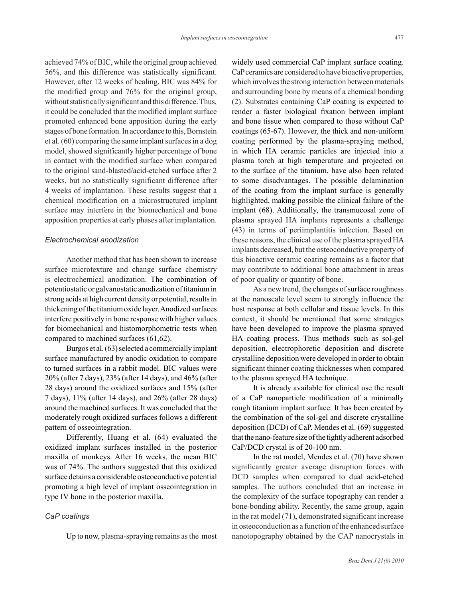achieved 74% of BIC, while the original group achieved 56%, and this difference was statistically significant. However, after 12 weeks of healing, BIC was 84% for the modified group and 76% for the original group, without statistically significant and this difference. Thus, it could be concluded that the modified implant surface promoted enhanced bone apposition during the early stages of bone formation. In accordance to this, Bornstein et al. (60) comparing the same implant surfaces in a dog model, showed significantly higher percentage of bone in contact with the modified surface when compared to the original sand-blasted/acid-etched surface after 2 weeks, but no statistically significant difference after 4 weeks of implantation. These results suggest that a chemical modification on a microstructured implant surface may interfere in the biomechanical and bone apposition properties at early phases after implantation.

## *Electrochemical anodization*

Another method that has been shown to increase surface microtexture and change surface chemistry is electrochemical anodization. The combination of potentiostatic or galvanostatic anodization of titanium in strong acids at high current density or potential, results in thickening of the titanium oxide layer. Anodized surfaces interfere positively in bone response with higher values for biomechanical and histomorphometric tests when compared to machined surfaces (61,62).

Burgos et al. (63) selected a commercially implant surface manufactured by anodic oxidation to compare to turned surfaces in a rabbit model. BIC values were 20% (after 7 days), 23% (after 14 days), and 46% (after 28 days) around the oxidized surfaces and 15% (after 7 days), 11% (after 14 days), and 26% (after 28 days) around the machined surfaces. It was concluded that the moderately rough oxidized surfaces follows a different pattern of osseointegration.

Differently, Huang et al. (64) evaluated the oxidized implant surfaces installed in the posterior maxilla of monkeys. After 16 weeks, the mean BIC was of 74%. The authors suggested that this oxidized surface detains a considerable osteoconductive potential promoting a high level of implant osseointegration in type IV bone in the posterior maxilla.

## *CaP coatings*

Up to now, plasma-spraying remains as the most

widely used commercial CaP implant surface coating. CaP ceramics are considered to have bioactive properties, which involves the strong interaction between materials and surrounding bone by means of a chemical bonding (2). Substrates containing CaP coating is expected to render a faster biological fixation between implant and bone tissue when compared to those without CaP coatings (65-67). However, the thick and non-uniform coating performed by the plasma-spraying method, in which HA ceramic particles are injected into a plasma torch at high temperature and projected on to the surface of the titanium, have also been related to some disadvantages. The possible delamination of the coating from the implant surface is generally highlighted, making possible the clinical failure of the implant (68). Additionally, the transmucosal zone of plasma sprayed HA implants represents a challenge (43) in terms of periimplantitis infection. Based on these reasons, the clinical use of the plasma sprayed HA implants decreased, but the osteoconductive property of this bioactive ceramic coating remains as a factor that may contribute to additional bone attachment in areas of poor quality or quantity of bone.

As a new trend, the changes of surface roughness at the nanoscale level seem to strongly influence the host response at both cellular and tissue levels. In this context, it should be mentioned that some strategies have been developed to improve the plasma sprayed HA coating process. Thus methods such as sol-gel deposition, electrophoretic deposition and discrete crystalline deposition were developed in order to obtain significant thinner coating thicknesses when compared to the plasma sprayed HA technique.

It is already available for clinical use the result of a CaP nanoparticle modification of a minimally rough titanium implant surface. It has been created by the combination of the sol-gel and discrete crystalline deposition (DCD) of CaP. Mendes et al. (69) suggested that the nano-feature size of the tightly adherent adsorbed CaP/DCD crystal is of 20-100 nm.

In the rat model, Mendes et al. (70) have shown significantly greater average disruption forces with DCD samples when compared to dual acid-etched samples. The authors concluded that an increase in the complexity of the surface topography can render a bone-bonding ability. Recently, the same group, again in the rat model (71), demonstrated significant increase in osteoconduction as a function of the enhanced surface nanotopography obtained by the CAP nanocrystals in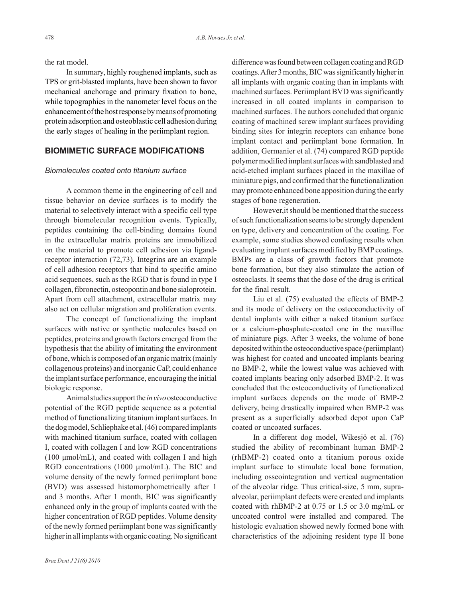the rat model.

In summary, highly roughened implants, such as TPS or grit-blasted implants, have been shown to favor mechanical anchorage and primary fixation to bone, while topographies in the nanometer level focus on the enhancement of the host response by means of promoting protein adsorption and osteoblastic cell adhesion during the early stages of healing in the periimplant region.

# **Biomimetic Surface Modifications**

### *Biomolecules coated onto titanium surface*

A common theme in the engineering of cell and tissue behavior on device surfaces is to modify the material to selectively interact with a specific cell type through biomolecular recognition events. Typically, peptides containing the cell-binding domains found in the extracellular matrix proteins are immobilized on the material to promote cell adhesion via ligandreceptor interaction (72,73). Integrins are an example of cell adhesion receptors that bind to specific amino acid sequences, such as the RGD that is found in type I collagen, fibronectin, osteopontin and bone sialoprotein. Apart from cell attachment, extracellular matrix may also act on cellular migration and proliferation events.

The concept of functionalizing the implant surfaces with native or synthetic molecules based on peptides, proteins and growth factors emerged from the hypothesis that the ability of imitating the environment of bone, which is composed of an organic matrix (mainly collagenous proteins) and inorganic CaP, could enhance the implant surface performance, encouraging the initial biologic response.

Animal studies support the *in vivo* osteoconductive potential of the RGD peptide sequence as a potential method of functionalizing titanium implant surfaces. In the dog model, Schliephake et al. (46) compared implants with machined titanium surface, coated with collagen I, coated with collagen I and low RGD concentrations (100 μmol/mL), and coated with collagen I and high RGD concentrations (1000 μmol/mL). The BIC and volume density of the newly formed periimplant bone (BVD) was assessed histomorphometrically after 1 and 3 months. After 1 month, BIC was significantly enhanced only in the group of implants coated with the higher concentration of RGD peptides. Volume density of the newly formed periimplant bone was significantly higher in all implants with organic coating. No significant difference was found between collagen coating and RGD coatings. After 3 months, BIC was significantly higher in all implants with organic coating than in implants with machined surfaces. Periimplant BVD was significantly increased in all coated implants in comparison to machined surfaces. The authors concluded that organic coating of machined screw implant surfaces providing binding sites for integrin receptors can enhance bone implant contact and periimplant bone formation. In addition, Germanier et al. (74) compared RGD peptide polymer modified implant surfaces with sandblasted and acid-etched implant surfaces placed in the maxillae of miniature pigs, and confirmed that the functionalization may promote enhanced bone apposition during the early stages of bone regeneration.

However,it should be mentioned that the success of such functionalization seems to be strongly dependent on type, delivery and concentration of the coating. For example, some studies showed confusing results when evaluating implant surfaces modified by BMP coatings. BMPs are a class of growth factors that promote bone formation, but they also stimulate the action of osteoclasts. It seems that the dose of the drug is critical for the final result.

Liu et al. (75) evaluated the effects of BMP-2 and its mode of delivery on the osteoconductivity of dental implants with either a naked titanium surface or a calcium-phosphate-coated one in the maxillae of miniature pigs. After 3 weeks, the volume of bone deposited within the osteoconductive space (periimplant) was highest for coated and uncoated implants bearing no BMP-2, while the lowest value was achieved with coated implants bearing only adsorbed BMP-2. It was concluded that the osteoconductivity of functionalized implant surfaces depends on the mode of BMP-2 delivery, being drastically impaired when BMP-2 was present as a superficially adsorbed depot upon CaP coated or uncoated surfaces.

In a different dog model, Wikesjö et al. (76) studied the ability of recombinant human BMP-2 (rhBMP-2) coated onto a titanium porous oxide implant surface to stimulate local bone formation, including osseointegration and vertical augmentation of the alveolar ridge. Thus critical-size, 5 mm, supraalveolar, periimplant defects were created and implants coated with rhBMP-2 at 0.75 or 1.5 or 3.0 mg/mL or uncoated control were installed and compared. The histologic evaluation showed newly formed bone with characteristics of the adjoining resident type II bone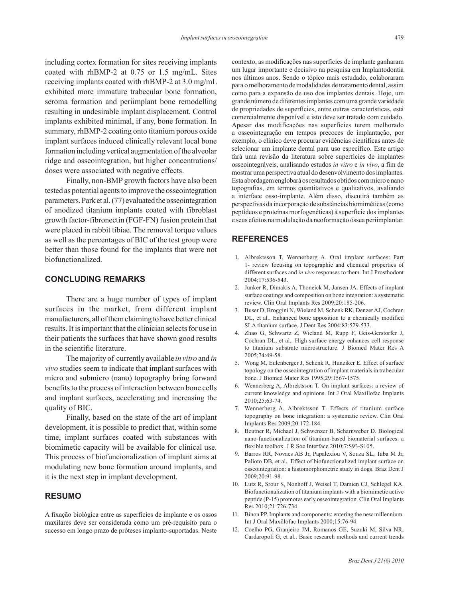including cortex formation for sites receiving implants coated with rhBMP-2 at 0.75 or 1.5 mg/mL. Sites receiving implants coated with rhBMP-2 at 3.0 mg/mL exhibited more immature trabecular bone formation, seroma formation and periimplant bone remodelling resulting in undesirable implant displacement. Control implants exhibited minimal, if any, bone formation. In summary, rhBMP-2 coating onto titanium porous oxide implant surfaces induced clinically relevant local bone formation including vertical augmentation of the alveolar ridge and osseointegration, but higher concentrations/ doses were associated with negative effects.

Finally, non-BMP growth factors have also been tested as potential agents to improve the osseointegration parameters. Park et al. (77) evaluated the osseointegration of anodized titanium implants coated with fibroblast growth factor-fibronectin (FGF-FN) fusion protein that were placed in rabbit tibiae. The removal torque values as well as the percentages of BIC of the test group were better than those found for the implants that were not biofunctionalized.

## **CONCLUDING REMARKS**

There are a huge number of types of implant surfaces in the market, from different implant manufacturers, all of them claiming to have better clinical results. It is important that the clinician selects for use in their patients the surfaces that have shown good results in the scientific literature.

The majority of currently available *in vitro* and *in vivo* studies seem to indicate that implant surfaces with micro and submicro (nano) topography bring forward benefits to the process of interaction between bone cells and implant surfaces, accelerating and increasing the quality of BIC.

Finally, based on the state of the art of implant development, it is possible to predict that, within some time, implant surfaces coated with substances with biomimetic capacity will be available for clinical use. This process of biofuncionalization of implant aims at modulating new bone formation around implants, and it is the next step in implant development.

### **RESUMO**

A fixação biológica entre as superfícies de implante e os ossos maxilares deve ser considerada como um pré-requisito para o sucesso em longo prazo de próteses implanto-suportadas. Neste contexto, as modificações nas superfícies de implante ganharam um lugar importante e decisivo na pesquisa em Implantodontia nos últimos anos. Sendo o tópico mais estudado, colaboraram para o melhoramento de modalidades de tratamento dental, assim como para a expansão de uso dos implantes dentais. Hoje, um grande número de diferentes implantes com uma grande variedade de propriedades de superfícies, entre outras características, está comercialmente disponível e isto deve ser tratado com cuidado. Apesar das modificações nas superfícies terem melhorado a osseointegração em tempos precoces de implantação, por exemplo, o clínico deve procurar evidências científicas antes de selecionar um implante dental para uso específico. Este artigo fará uma revisão da literatura sobre superfícies de implantes osseointegráveis, analisando estudos *in vitro* e *in vivo*, a fim de mostrar uma perspectiva atual do desenvolvimento dos implantes. Esta abordagem englobará os resultados obtidos com micro e nano topografias, em termos quantitativos e qualitativos, avaliando a interface osso-implante. Além disso, discutirá também as perspectivas da incorporação de substâncias biomiméticas (como peptídeos e proteínas morfogenéticas) à superfície dos implantes e seus efeitos na modulação da neoformação óssea periimplantar.

## **REFERENCES**

- 1. Albrektsson T, Wennerberg A. Oral implant surfaces: Part 1- review focusing on topographic and chemical properties of different surfaces and *in vivo* responses to them. Int J Prosthodont 2004;17:536-543.
- 2. Junker R, Dimakis A, Thoneick M, Jansen JA. Effects of implant surface coatings and composition on bone integration: a systematic review. Clin Oral Implants Res 2009;20:185-206.
- 3. Buser D, Broggini N, Wieland M, Schenk RK, Denzer AJ, Cochran DL, et al.. Enhanced bone apposition to a chemically modified SLA titanium surface. J Dent Res 2004;83:529-533.
- 4. Zhao G, Schwartz Z, Wieland M, Rupp F, Geis-Gerstorfer J, Cochran DL, et al.. High surface energy enhances cell response to titanium substrate microstructure. J Biomed Mater Res A 2005;74:49-58.
- 5. Wong M, Eulenberger J, Schenk R, Hunziker E. Effect of surface topology on the osseointegration of implant materials in trabecular bone. J Biomed Mater Res 1995;29:1567-1575.
- 6. Wennerberg A, Albrektsson T. On implant surfaces: a review of current knowledge and opinions. Int J Oral Maxillofac Implants 2010;25:63-74.
- 7. Wennerberg A, Albrektsson T. Effects of titanium surface topography on bone integration: a systematic review. Clin Oral Implants Res 2009;20:172-184.
- 8. Beutner R, Michael J, Schwenzer B, Scharnweber D. Biological nano-functionalization of titanium-based biomaterial surfaces: a flexible toolbox. J R Soc Interface 2010;7:S93-S105.
- 9. Barros RR, Novaes AB Jr, Papalexiou V, Souza SL, Taba M Jr, Palioto DB, et al.. Effect of biofunctionalized implant surface on osseointegration: a histomorphometric study in dogs. Braz Dent J 2009;20:91-98.
- 10. Lutz R, Srour S, Nonhoff J, Weisel T, Damien CJ, Schlegel KA. Biofunctionalization of titanium implants with a biomimetic active peptide (P-15) promotes early osseointegration. Clin Oral Implants Res 2010;21:726-734.
- 11. Binon PP. Implants and components: entering the new millennium. Int J Oral Maxillofac Implants 2000;15:76-94.
- 12. Coelho PG, Granjeiro JM, Romanos GE, Suzuki M, Silva NR, Cardaropoli G, et al.. Basic research methods and current trends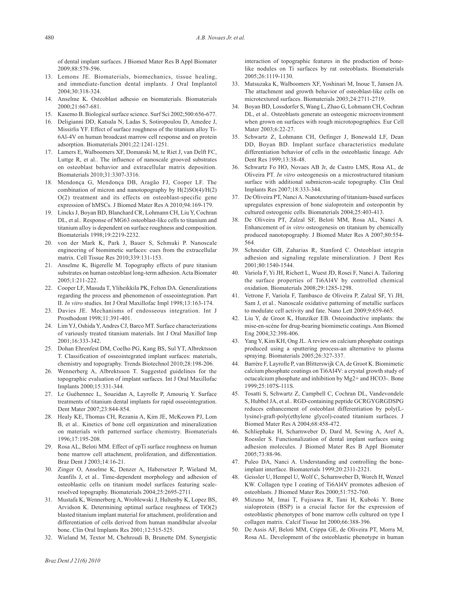of dental implant surfaces. J Biomed Mater Res B Appl Biomater 2009;88:579-596.

- 13. Lemons JE. Biomaterials, biomechanics, tissue healing, and immediate-function dental implants. J Oral Implantol 2004;30:318-324.
- 14. Anselme K. Osteoblast adhesio on biomaterials. Biomaterials 2000;21:667-681.
- 15. Kasemo B. Biological surface science. Surf Sci 2002;500:656-677.
- 16. Deligianni DD, Katsala N, Ladas S, Sotiropoulou D, Amedee J, Missirlis YF. Effect of surface roughness of the titanium alloy Ti-6Al-4V on human broadcast marrow cell response and on protein adsorption. Biomaterials 2001;22:1241-1251.
- 17. Lamers E, Walboomers XF, Domanski M, te Riet J, van Delft FC, Luttge R, et al.. The influence of nanoscale grooved substrates on osteoblast behavior and extracellular matrix deposition. Biomaterials 2010;31:3307-3316.
- 18. Mendonça G, Mendonça DB, Aragão FJ, Cooper LF. The combination of micron and nanotopography by H(2)SO(4)/H(2) O(2) treatment and its effects on osteoblast-specific gene expression of hMSCs. J Biomed Mater Res A 2010;94:169-179.
- 19. Lincks J, Boyan BD, Blanchard CR, Lohmann CH, Liu Y, Cochran DL, et al.. Response of MG63 osteoblast-like cells to titanium and titanium alloy is dependent on surface roughness and composition. Biomaterials 1998;19:2219-2232.
- 20. von der Mark K, Park J, Bauer S, Schmuki P. Nanoscale engineering of biomimetic surfaces: cues from the extracellular matrix. Cell Tissue Res 2010;339:131-153.
- 21. Anselme K, Bigerelle M. Topography effects of pure titanium substrates on human osteoblast long-term adhesion. Acta Biomater 2005;1:211-222.
- 22. Cooper LF, Masuda T, Yliheikkila PK, Felton DA. Generalizations regarding the process and phenomenon of osseointegration. Part II. *In vitro* studies. Int J Oral Maxillofac Impl 1998;13:163-174.
- 23. Davies JE. Mechanisms of endosseous integration. Int J Prosthodont 1998;11:391-401.
- 24. Lim YJ, Oshida Y, Andres CJ, Barco MT. Surface characterizations of variously treated titanium materials. Int J Oral Maxillof Imp 2001;16:333-342.
- 25. Dohan Ehrenfest DM, Coelho PG, Kang BS, Sul YT, Albrektsson T. Classification of osseointegrated implant surfaces: materials, chemistry and topography. Trends Biotechnol 2010;28:198-206.
- 26. Wennerberg A, Albrektsson T. Suggested guidelines for the topographic evaluation of implant surfaces. Int J Oral Maxillofac Implants 2000;15:331-344.
- 27. Le Guéhennec L, Soueidan A, Layrolle P, Amouriq Y. Surface treatments of titanium dental implants for rapid osseointegration. Dent Mater 2007;23:844-854.
- 28. Healy KE, Thomas CH, Rezania A, Kim JE, McKeown PJ, Lom B, et al.. Kinetics of bone cell organization and mineralization on materials with patterned surface chemistry. Biomaterials 1996;17:195-208.
- 29. Rosa AL, Beloti MM. Effect of cpTi surface roughness on human bone marrow cell attachment, proliferation, and differentiation. Braz Dent J 2003;14:16-21.
- 30. Zinger O, Anselme K, Denzer A, Habersetzer P, Wieland M, Jeanfils J, et al.. Time-dependent morphology and adhesion of osteoblastic cells on titanium model surfaces featuring scaleresolved topography. Biomaterials 2004;25:2695-2711.
- 31. Mustafa K, Wennerberg A, Wroblewski J, Hultenby K, Lopez BS, Arvidson K. Determining optimal surface roughness of TiO(2) blasted titanium implant material for attachment, proliferation and differentiation of cells derived from human mandibular alveolar bone. Clin Oral Implants Res 2001;12:515-525.
- 32. Wieland M, Textor M, Chehroudi B, Brunette DM. Synergistic

interaction of topographic features in the production of bonelike nodules on Ti surfaces by rat osteoblasts. Biomaterials 2005;26:1119-1130.

- 33. Matsuzaka K, Walboomers XF, Yoshinari M, Inoue T, Jansen JA. The attachment and growth behavior of osteoblast-like cells on microtextured surfaces. Biomaterials 2003;24:2711-2719.
- 34. Boyan BD, Lossdorfer S, Wang L, Zhao G, Lohmann CH, Cochran DL, et al.. Osteoblasts generate an osteogenic microenvironment when grown on surfaces with rough microtopographies. Eur Cell Mater 2003;6:22-27.
- 35. Schwartz Z, Lohmann CH, Oefinger J, Bonewald LF, Dean DD, Boyan BD. Implant surface characteristics modulate differentiation behavior of cells in the osteoblastic lineage. Adv Dent Res 1999;13:38-48.
- 36. Schwartz Fo HO, Novaes AB Jr, de Castro LMS, Rosa AL, de Oliveira PT. *In vitro* osteogenesis on a microstructured titanium surface with additional submicron-scale topography. Clin Oral Implants Res 2007;18:333-344.
- 37. De Oliveira PT, Nanci A. Nanotexturing of titanium-based surfaces upregulates expression of bone sialoprotein and osteopontin by cultured osteogenic cells. Biomaterials 2004;25:403-413.
- 38. De Oliveira PT, Zalzal SF, Beloti MM, Rosa AL, Nanci A. Enhancement of *in vitro* osteogenesis on titanium by chemically produced nanotopography. J Biomed Mater Res A 2007;80:554- 564.
- 39. Schneider GB, Zaharias R, Stanford C. Osteoblast integrin adhesion and signaling regulate mineralization. J Dent Res 2001;80:1540-1544.
- 40. Variola F, Yi JH, Richert L, Wuest JD, Rosei F, Nanci A. Tailoring the surface properties of Ti6Al4V by controlled chemical oxidation. Biomaterials 2008;29:1285-1298.
- 41. Vetrone F, Variola F, Tambasco de Oliveira P, Zalzal SF, Yi JH, Sam J, et al.. Nanoscale oxidative patterning of metallic surfaces to modulate cell activity and fate. Nano Lett 2009;9:659-665.
- 42. Liu Y, de Groot K, Hunziker EB. Osteoinductive implants: the mise-en-scène for drug-bearing biomimetic coatings. Ann Biomed Eng 2004;32:398-406.
- 43. Yang Y, Kim KH, Ong JL. A review on calcium phosphate coatings produced using a sputtering process-an alternative to plasma spraying. Biomaterials 2005;26:327-337.
- 44. Barrère F, Layrolle P, van Blitterswijk CA, de Groot K. Biomimetic calcium phosphate coatings on Ti6AI4V: a crystal growth study of octacalcium phosphate and inhibition by Mg2+ and HCO3-. Bone 1999;25:107S-111S.
- 45. Tosatti S, Schwartz Z, Campbell C, Cochran DL, Vandevondele S, Hubbel JA, et al.. RGD-containing peptide GCRGYGRGDSPG reduces enhancement of osteoblast differentiation by poly(Llysine)-graft-poly(ethylene glycol)-coated titanium surfaces. J Biomed Mater Res A 2004;68:458-472.
- 46. Schliephake H, Scharnweber D, Dard M, Sewing A, Aref A, Roessler S. Functionalization of dental implant surfaces using adhesion molecules. J Biomed Mater Res B Appl Biomater 2005;73:88-96.
- 47. Puleo DA, Nanci A. Understanding and controlling the boneimplant interface. Biomaterials 1999;20:2311-2321.
- 48. Geissler U, Hempel U, Wolf C, Scharnweber D, Worch H, Wenzel KW. Collagen type I coating of Ti6Al4V promotes adhesion of osteoblasts. J Biomed Mater Res 2000;51:752-760.
- 49. Mizuno M, Imai T, Fujisawa R, Tani H, Kuboki Y. Bone sialoprotein (BSP) is a crucial factor for the expression of osteoblastic phenotypes of bone marrow cells cultured on type I collagen matrix. Calcif Tissue Int 2000;66:388-396.
- 50. De Assis AF, Beloti MM, Crippa GE, de Oliveira PT, Morra M, Rosa AL. Development of the osteoblastic phenotype in human